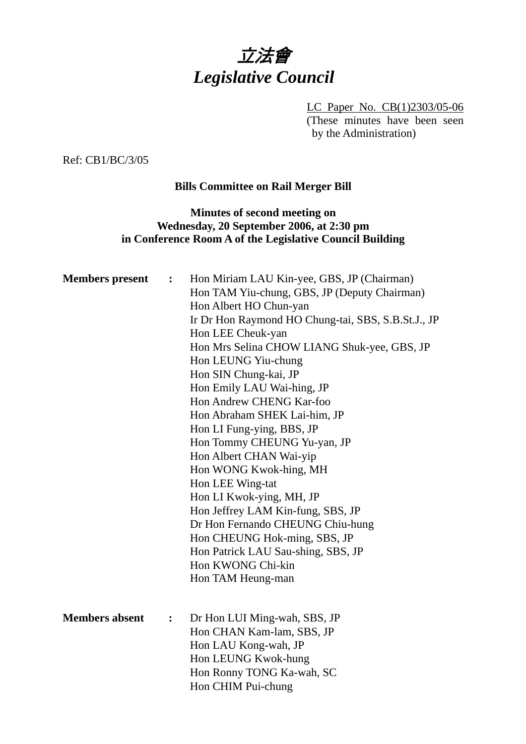

LC Paper No. CB(1)2303/05-06 (These minutes have been seen by the Administration)

Ref: CB1/BC/3/05

# **Bills Committee on Rail Merger Bill**

# **Minutes of second meeting on Wednesday, 20 September 2006, at 2:30 pm in Conference Room A of the Legislative Council Building**

| <b>Members</b> present | $\ddot{\cdot}$               | Hon Miriam LAU Kin-yee, GBS, JP (Chairman)<br>Hon TAM Yiu-chung, GBS, JP (Deputy Chairman)<br>Hon Albert HO Chun-yan<br>Ir Dr Hon Raymond HO Chung-tai, SBS, S.B.St.J., JP<br>Hon LEE Cheuk-yan<br>Hon Mrs Selina CHOW LIANG Shuk-yee, GBS, JP<br>Hon LEUNG Yiu-chung<br>Hon SIN Chung-kai, JP<br>Hon Emily LAU Wai-hing, JP<br>Hon Andrew CHENG Kar-foo<br>Hon Abraham SHEK Lai-him, JP<br>Hon LI Fung-ying, BBS, JP<br>Hon Tommy CHEUNG Yu-yan, JP<br>Hon Albert CHAN Wai-yip<br>Hon WONG Kwok-hing, MH<br>Hon LEE Wing-tat<br>Hon LI Kwok-ying, MH, JP<br>Hon Jeffrey LAM Kin-fung, SBS, JP<br>Dr Hon Fernando CHEUNG Chiu-hung<br>Hon CHEUNG Hok-ming, SBS, JP<br>Hon Patrick LAU Sau-shing, SBS, JP<br>Hon KWONG Chi-kin |
|------------------------|------------------------------|-------------------------------------------------------------------------------------------------------------------------------------------------------------------------------------------------------------------------------------------------------------------------------------------------------------------------------------------------------------------------------------------------------------------------------------------------------------------------------------------------------------------------------------------------------------------------------------------------------------------------------------------------------------------------------------------------------------------------------|
|                        |                              | Hon TAM Heung-man                                                                                                                                                                                                                                                                                                                                                                                                                                                                                                                                                                                                                                                                                                             |
| <b>Members absent</b>  | $\overset{\bullet}{\bullet}$ | Dr Hon LUI Ming-wah, SBS, JP<br>Hon CHAN Kam-lam, SBS, JP<br>Hon LAU Kong-wah, JP<br>Hon LEUNG Kwok-hung<br>Hon Ronny TONG Ka-wah, SC<br>Hon CHIM Pui-chung                                                                                                                                                                                                                                                                                                                                                                                                                                                                                                                                                                   |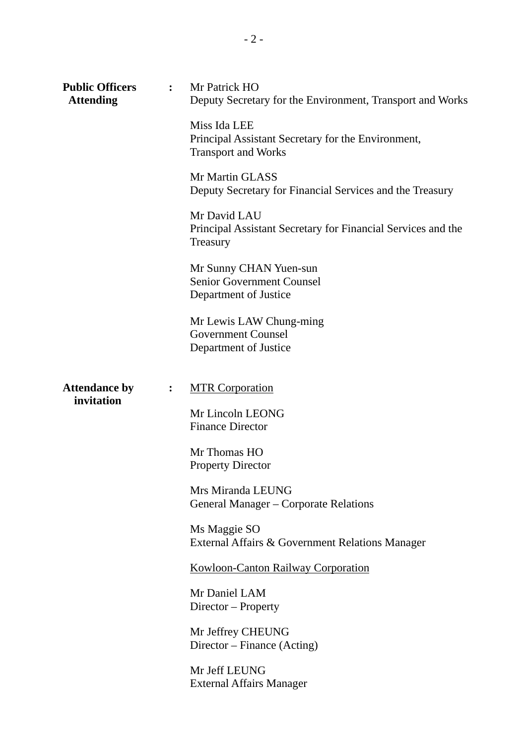| <b>Public Officers</b><br><b>Attending</b> | $\mathbf{L}$   | Mr Patrick HO<br>Deputy Secretary for the Environment, Transport and Works<br>Miss Ida LEE<br>Principal Assistant Secretary for the Environment,<br><b>Transport and Works</b><br>Mr Martin GLASS<br>Deputy Secretary for Financial Services and the Treasury |
|--------------------------------------------|----------------|---------------------------------------------------------------------------------------------------------------------------------------------------------------------------------------------------------------------------------------------------------------|
|                                            |                | Mr David LAU<br>Principal Assistant Secretary for Financial Services and the<br>Treasury<br>Mr Sunny CHAN Yuen-sun<br><b>Senior Government Counsel</b><br>Department of Justice<br>Mr Lewis LAW Chung-ming                                                    |
| <b>Attendance by</b>                       | $\ddot{\cdot}$ | <b>Government Counsel</b><br>Department of Justice<br><b>MTR Corporation</b>                                                                                                                                                                                  |
| invitation                                 |                | Mr Lincoln LEONG<br><b>Finance Director</b><br>Mr Thomas HO<br><b>Property Director</b>                                                                                                                                                                       |
|                                            |                | Mrs Miranda LEUNG<br>General Manager – Corporate Relations<br>Ms Maggie SO<br>External Affairs & Government Relations Manager                                                                                                                                 |
|                                            |                | <b>Kowloon-Canton Railway Corporation</b><br>Mr Daniel LAM<br>Director – Property                                                                                                                                                                             |
|                                            |                | Mr Jeffrey CHEUNG<br>Director – Finance (Acting)<br>Mr Jeff LEUNG                                                                                                                                                                                             |
|                                            |                | <b>External Affairs Manager</b>                                                                                                                                                                                                                               |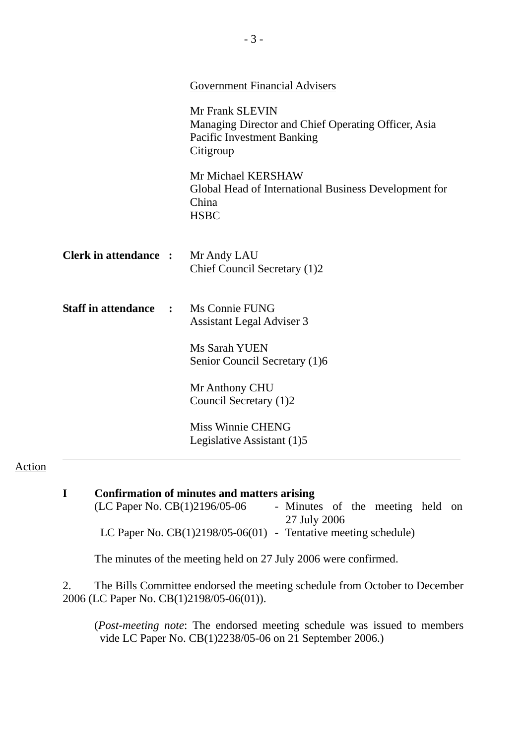|                                            | <b>Government Financial Advisers</b>                                                                                     |
|--------------------------------------------|--------------------------------------------------------------------------------------------------------------------------|
|                                            | Mr Frank SLEVIN<br>Managing Director and Chief Operating Officer, Asia<br><b>Pacific Investment Banking</b><br>Citigroup |
|                                            | Mr Michael KERSHAW<br>Global Head of International Business Development for<br>China<br><b>HSBC</b>                      |
| <b>Clerk in attendance :</b>               | Mr Andy LAU<br>Chief Council Secretary (1)2                                                                              |
| <b>Staff in attendance</b><br>$\mathbf{r}$ | Ms Connie FUNG<br><b>Assistant Legal Adviser 3</b>                                                                       |
|                                            | Ms Sarah YUEN<br>Senior Council Secretary (1)6                                                                           |
|                                            | Mr Anthony CHU<br>Council Secretary (1)2                                                                                 |
|                                            | <b>Miss Winnie CHENG</b><br>Legislative Assistant (1)5                                                                   |

## Action

| Confirmation of minutes and matters arising                      |  |                                  |  |  |  |  |  |
|------------------------------------------------------------------|--|----------------------------------|--|--|--|--|--|
| (LC Paper No. CB(1)2196/05-06                                    |  | - Minutes of the meeting held on |  |  |  |  |  |
|                                                                  |  | 27 July 2006                     |  |  |  |  |  |
| LC Paper No. $CB(1)2198/05-06(01)$ - Tentative meeting schedule) |  |                                  |  |  |  |  |  |
|                                                                  |  |                                  |  |  |  |  |  |

The minutes of the meeting held on 27 July 2006 were confirmed.

2. The Bills Committee endorsed the meeting schedule from October to December 2006 (LC Paper No. CB(1)2198/05-06(01)).

(*Post-meeting note*: The endorsed meeting schedule was issued to members vide LC Paper No. CB(1)2238/05-06 on 21 September 2006.)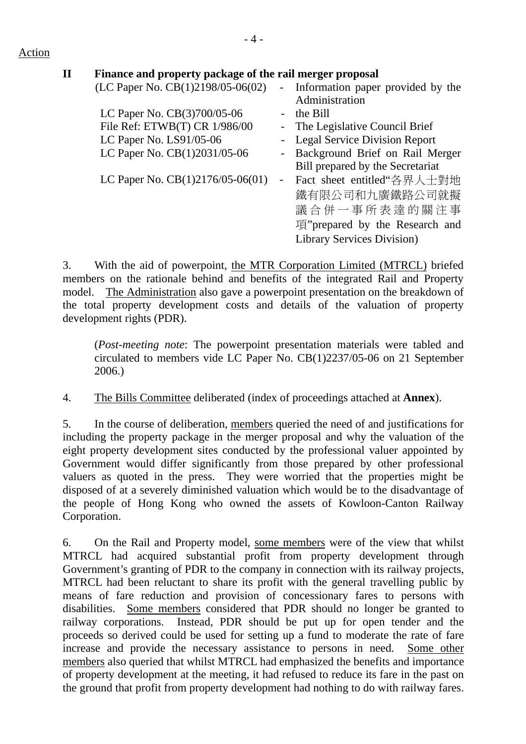### Action

| $\mathbf H$ | Finance and property package of the rail merger proposal |            |                                   |
|-------------|----------------------------------------------------------|------------|-----------------------------------|
|             | (LC Paper No. CB(1)2198/05-06(02)                        | $\sim 100$ | Information paper provided by the |
|             |                                                          |            | Administration                    |
|             | LC Paper No. CB(3)700/05-06                              |            | the Bill                          |
|             | File Ref: ETWB(T) CR 1/986/00                            |            | - The Legislative Council Brief   |
|             | LC Paper No. LS91/05-06                                  |            | - Legal Service Division Report   |
|             | LC Paper No. CB(1)2031/05-06                             | $ \,$      | Background Brief on Rail Merger   |
|             |                                                          |            | Bill prepared by the Secretariat  |
|             | LC Paper No. $CB(1)2176/05-06(01)$                       |            | Fact sheet entitled "各界人士對地       |
|             |                                                          |            | 鐵有限公司和九廣鐵路公司就擬                    |
|             |                                                          |            | 議合併一事所表達的關注事                      |
|             |                                                          |            | 項"prepared by the Research and    |
|             |                                                          |            | Library Services Division)        |
|             |                                                          |            |                                   |

3. With the aid of powerpoint, the MTR Corporation Limited (MTRCL) briefed members on the rationale behind and benefits of the integrated Rail and Property model. The Administration also gave a powerpoint presentation on the breakdown of the total property development costs and details of the valuation of property development rights (PDR).

 (*Post-meeting note*: The powerpoint presentation materials were tabled and circulated to members vide LC Paper No. CB(1)2237/05-06 on 21 September 2006.)

4. The Bills Committee deliberated (index of proceedings attached at **Annex**).

5. In the course of deliberation, members queried the need of and justifications for including the property package in the merger proposal and why the valuation of the eight property development sites conducted by the professional valuer appointed by Government would differ significantly from those prepared by other professional valuers as quoted in the press. They were worried that the properties might be disposed of at a severely diminished valuation which would be to the disadvantage of the people of Hong Kong who owned the assets of Kowloon-Canton Railway Corporation.

6. On the Rail and Property model, some members were of the view that whilst MTRCL had acquired substantial profit from property development through Government's granting of PDR to the company in connection with its railway projects, MTRCL had been reluctant to share its profit with the general travelling public by means of fare reduction and provision of concessionary fares to persons with disabilities. Some members considered that PDR should no longer be granted to railway corporations. Instead, PDR should be put up for open tender and the proceeds so derived could be used for setting up a fund to moderate the rate of fare increase and provide the necessary assistance to persons in need. Some other members also queried that whilst MTRCL had emphasized the benefits and importance of property development at the meeting, it had refused to reduce its fare in the past on the ground that profit from property development had nothing to do with railway fares.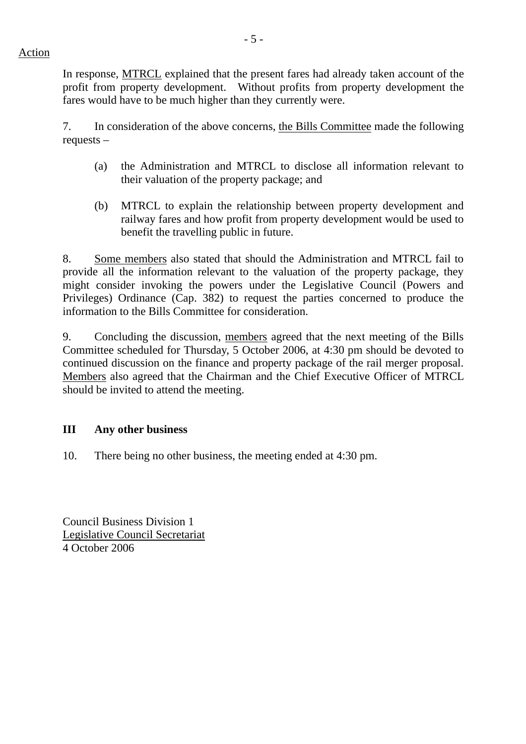In response, MTRCL explained that the present fares had already taken account of the profit from property development. Without profits from property development the fares would have to be much higher than they currently were.

7. In consideration of the above concerns, the Bills Committee made the following requests –

- (a) the Administration and MTRCL to disclose all information relevant to their valuation of the property package; and
- (b) MTRCL to explain the relationship between property development and railway fares and how profit from property development would be used to benefit the travelling public in future.

8. Some members also stated that should the Administration and MTRCL fail to provide all the information relevant to the valuation of the property package, they might consider invoking the powers under the Legislative Council (Powers and Privileges) Ordinance (Cap. 382) to request the parties concerned to produce the information to the Bills Committee for consideration.

9. Concluding the discussion, members agreed that the next meeting of the Bills Committee scheduled for Thursday, 5 October 2006, at 4:30 pm should be devoted to continued discussion on the finance and property package of the rail merger proposal. Members also agreed that the Chairman and the Chief Executive Officer of MTRCL should be invited to attend the meeting.

## **III Any other business**

10. There being no other business, the meeting ended at 4:30 pm.

Council Business Division 1 Legislative Council Secretariat 4 October 2006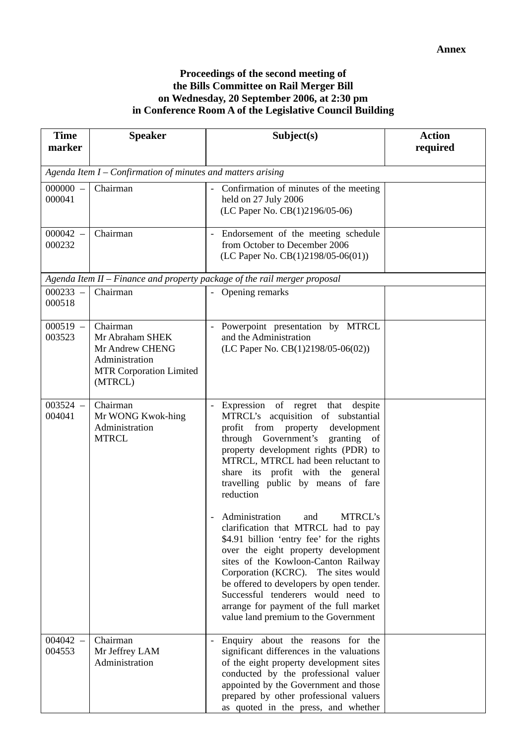#### **Proceedings of the second meeting of the Bills Committee on Rail Merger Bill on Wednesday, 20 September 2006, at 2:30 pm in Conference Room A of the Legislative Council Building**

| <b>Time</b><br>marker | <b>Speaker</b>                                                                                                | Subject(s)                                                                                                                                                                                                                                                                                                                                                                                                                                                                   | <b>Action</b><br>required |  |  |  |  |
|-----------------------|---------------------------------------------------------------------------------------------------------------|------------------------------------------------------------------------------------------------------------------------------------------------------------------------------------------------------------------------------------------------------------------------------------------------------------------------------------------------------------------------------------------------------------------------------------------------------------------------------|---------------------------|--|--|--|--|
|                       | Agenda Item I – Confirmation of minutes and matters arising                                                   |                                                                                                                                                                                                                                                                                                                                                                                                                                                                              |                           |  |  |  |  |
| $000000 -$<br>000041  | Chairman                                                                                                      | - Confirmation of minutes of the meeting<br>held on 27 July 2006<br>(LC Paper No. CB(1)2196/05-06)                                                                                                                                                                                                                                                                                                                                                                           |                           |  |  |  |  |
| $000042 -$<br>000232  | Chairman                                                                                                      | Endorsement of the meeting schedule<br>$\overline{\phantom{a}}$<br>from October to December 2006<br>(LC Paper No. CB(1)2198/05-06(01))                                                                                                                                                                                                                                                                                                                                       |                           |  |  |  |  |
|                       |                                                                                                               | Agenda Item II - Finance and property package of the rail merger proposal                                                                                                                                                                                                                                                                                                                                                                                                    |                           |  |  |  |  |
| $000233 -$<br>000518  | Chairman                                                                                                      | Opening remarks                                                                                                                                                                                                                                                                                                                                                                                                                                                              |                           |  |  |  |  |
| $000519 -$<br>003523  | Chairman<br>Mr Abraham SHEK<br>Mr Andrew CHENG<br>Administration<br><b>MTR Corporation Limited</b><br>(MTRCL) | Powerpoint presentation by MTRCL<br>$\overline{\phantom{a}}$<br>and the Administration<br>(LC Paper No. CB(1)2198/05-06(02))                                                                                                                                                                                                                                                                                                                                                 |                           |  |  |  |  |
| $003524 -$<br>004041  | Chairman<br>Mr WONG Kwok-hing<br>Administration<br><b>MTRCL</b>                                               | Expression of regret that despite<br>$\overline{\phantom{a}}$<br>MTRCL's acquisition of substantial<br>profit from property<br>development<br>through Government's granting of<br>property development rights (PDR) to<br>MTRCL, MTRCL had been reluctant to<br>share its profit with the general<br>travelling public by means of fare<br>reduction<br>MTRCL's<br>Administration<br>and<br>clarification that MTRCL had to pay<br>\$4.91 billion 'entry fee' for the rights |                           |  |  |  |  |
|                       |                                                                                                               | over the eight property development<br>sites of the Kowloon-Canton Railway<br>Corporation (KCRC). The sites would<br>be offered to developers by open tender.<br>Successful tenderers would need to<br>arrange for payment of the full market<br>value land premium to the Government                                                                                                                                                                                        |                           |  |  |  |  |
| $004042 -$<br>004553  | Chairman<br>Mr Jeffrey LAM<br>Administration                                                                  | Enquiry about the reasons for the<br>significant differences in the valuations<br>of the eight property development sites<br>conducted by the professional valuer<br>appointed by the Government and those<br>prepared by other professional valuers<br>as quoted in the press, and whether                                                                                                                                                                                  |                           |  |  |  |  |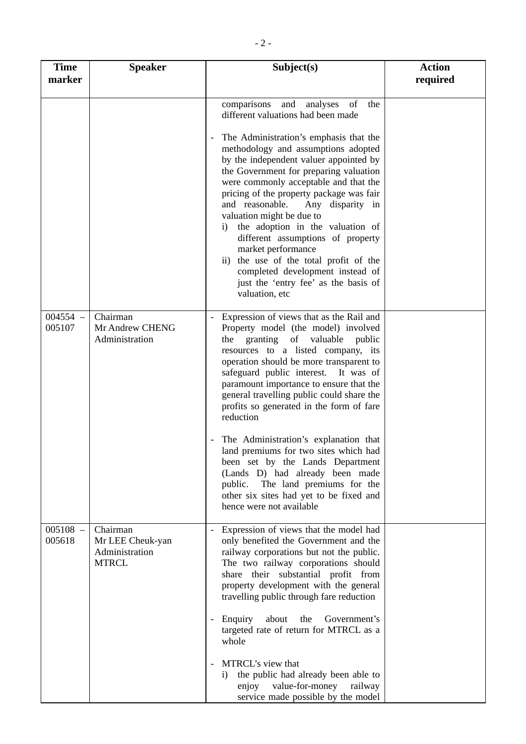| <b>Time</b><br>marker | <b>Speaker</b>                                                 | Subject(s)                                                                                                                                                                                                                                                                                                                                                                                                                                                                                                                                                                                                                                                              | <b>Action</b><br>required |
|-----------------------|----------------------------------------------------------------|-------------------------------------------------------------------------------------------------------------------------------------------------------------------------------------------------------------------------------------------------------------------------------------------------------------------------------------------------------------------------------------------------------------------------------------------------------------------------------------------------------------------------------------------------------------------------------------------------------------------------------------------------------------------------|---------------------------|
|                       |                                                                | comparisons<br>and<br>analyses<br>of<br>the<br>different valuations had been made<br>The Administration's emphasis that the<br>methodology and assumptions adopted<br>by the independent valuer appointed by<br>the Government for preparing valuation<br>were commonly acceptable and that the<br>pricing of the property package was fair<br>Any disparity in<br>and reasonable.<br>valuation might be due to<br>the adoption in the valuation of<br>1)<br>different assumptions of property<br>market performance<br>ii) the use of the total profit of the<br>completed development instead of<br>just the 'entry fee' as the basis of<br>valuation, etc            |                           |
| $004554 -$<br>005107  | Chairman<br>Mr Andrew CHENG<br>Administration                  | Expression of views that as the Rail and<br>Property model (the model) involved<br>granting of valuable<br>the<br>public<br>resources to a listed company, its<br>operation should be more transparent to<br>safeguard public interest. It was of<br>paramount importance to ensure that the<br>general travelling public could share the<br>profits so generated in the form of fare<br>reduction<br>The Administration's explanation that<br>land premiums for two sites which had<br>been set by the Lands Department<br>(Lands D) had already been made<br>public. The land premiums for the<br>other six sites had yet to be fixed and<br>hence were not available |                           |
| $005108 -$<br>005618  | Chairman<br>Mr LEE Cheuk-yan<br>Administration<br><b>MTRCL</b> | Expression of views that the model had<br>$\overline{\phantom{a}}$<br>only benefited the Government and the<br>railway corporations but not the public.<br>The two railway corporations should<br>share their substantial profit from<br>property development with the general<br>travelling public through fare reduction<br>about<br>Government's<br>Enquiry<br>the<br>targeted rate of return for MTRCL as a<br>whole<br>MTRCL's view that<br>the public had already been able to<br>$\mathbf{i}$<br>value-for-money<br>enjoy<br>railway<br>service made possible by the model                                                                                       |                           |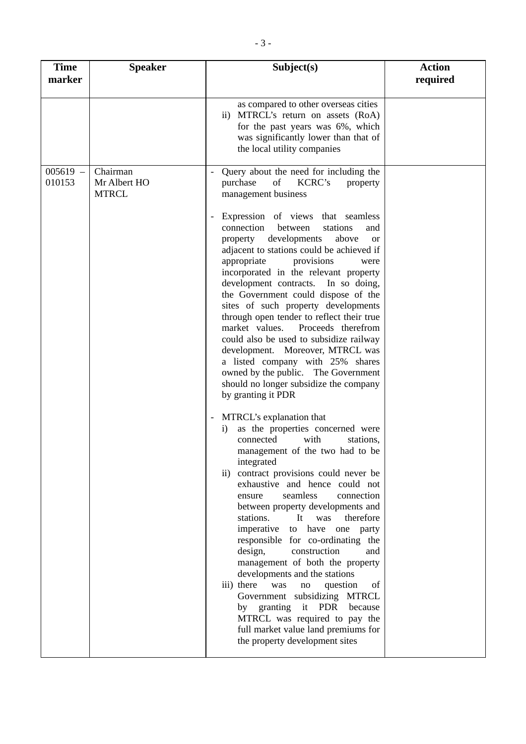| <b>Time</b><br>marker | <b>Speaker</b>                           | Subject(s)                                                                                                                                                                                                                                                                                                                                                                                                                                                                                                                                                                                                                                                                                                                                                                       | <b>Action</b><br>required |
|-----------------------|------------------------------------------|----------------------------------------------------------------------------------------------------------------------------------------------------------------------------------------------------------------------------------------------------------------------------------------------------------------------------------------------------------------------------------------------------------------------------------------------------------------------------------------------------------------------------------------------------------------------------------------------------------------------------------------------------------------------------------------------------------------------------------------------------------------------------------|---------------------------|
|                       |                                          | as compared to other overseas cities<br>ii) MTRCL's return on assets (RoA)<br>for the past years was 6%, which<br>was significantly lower than that of<br>the local utility companies                                                                                                                                                                                                                                                                                                                                                                                                                                                                                                                                                                                            |                           |
| $005619 -$<br>010153  | Chairman<br>Mr Albert HO<br><b>MTRCL</b> | Query about the need for including the<br>of<br>KCRC's<br>purchase<br>property<br>management business                                                                                                                                                                                                                                                                                                                                                                                                                                                                                                                                                                                                                                                                            |                           |
|                       |                                          | Expression of views that seamless<br>connection<br>between<br>stations<br>and<br>developments<br>above<br>property<br><b>or</b><br>adjacent to stations could be achieved if<br>appropriate<br>provisions<br>were<br>incorporated in the relevant property<br>development contracts. In so doing,<br>the Government could dispose of the<br>sites of such property developments<br>through open tender to reflect their true<br>market values.<br>Proceeds therefrom<br>could also be used to subsidize railway<br>development. Moreover, MTRCL was<br>a listed company with 25% shares<br>owned by the public. The Government<br>should no longer subsidize the company<br>by granting it PDR                                                                                   |                           |
|                       |                                          | MTRCL's explanation that<br>as the properties concerned were<br>$\mathbf{i}$<br>connected<br>with<br>stations,<br>management of the two had to be<br>integrated<br>contract provisions could never be<br>$\rm ii)$<br>exhaustive and hence could not<br>seamless<br>connection<br>ensure<br>between property developments and<br>It<br>therefore<br>stations.<br>was<br>to have<br>imperative<br>one party<br>responsible for co-ordinating the<br>design,<br>construction<br>and<br>management of both the property<br>developments and the stations<br>iii) there<br>question<br>was<br>of<br>no<br>Government subsidizing MTRCL<br>it PDR<br>by granting<br>because<br>MTRCL was required to pay the<br>full market value land premiums for<br>the property development sites |                           |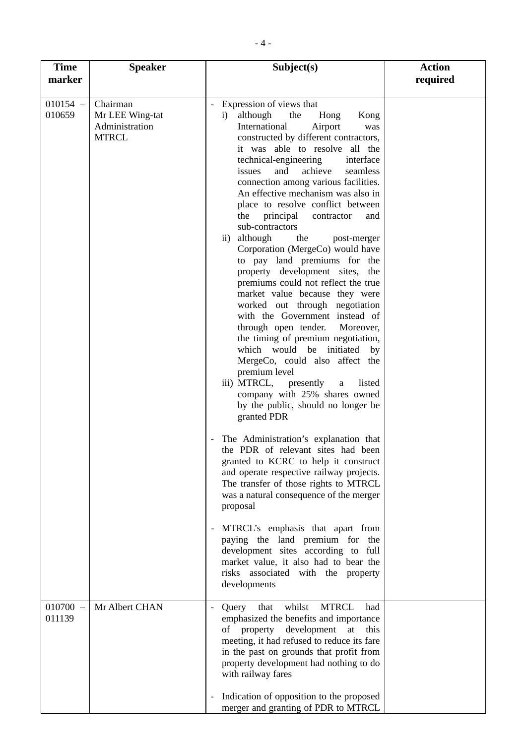| <b>Time</b><br>marker | <b>Speaker</b>                                                | Subject(s)                                                                                                                                                                                                                                                                                                                                                                                                                                                                                                                                                                                                                                                                                                                                                                                                                                                                                                                                                                                                                                                                                                                                                                                                                                                                                                                                                                                                                                                                                                                                             | <b>Action</b><br>required |
|-----------------------|---------------------------------------------------------------|--------------------------------------------------------------------------------------------------------------------------------------------------------------------------------------------------------------------------------------------------------------------------------------------------------------------------------------------------------------------------------------------------------------------------------------------------------------------------------------------------------------------------------------------------------------------------------------------------------------------------------------------------------------------------------------------------------------------------------------------------------------------------------------------------------------------------------------------------------------------------------------------------------------------------------------------------------------------------------------------------------------------------------------------------------------------------------------------------------------------------------------------------------------------------------------------------------------------------------------------------------------------------------------------------------------------------------------------------------------------------------------------------------------------------------------------------------------------------------------------------------------------------------------------------------|---------------------------|
| $010154 -$<br>010659  | Chairman<br>Mr LEE Wing-tat<br>Administration<br><b>MTRCL</b> | Expression of views that<br>although<br>the<br>Hong<br>Kong<br>$\mathbf{i}$<br>International<br>Airport<br>was<br>constructed by different contractors,<br>it was able to resolve all the<br>technical-engineering<br>interface<br>and<br>achieve<br>issues<br>seamless<br>connection among various facilities.<br>An effective mechanism was also in<br>place to resolve conflict between<br>the<br>principal<br>contractor<br>and<br>sub-contractors<br>although<br>the<br>$\overline{11}$ )<br>post-merger<br>Corporation (MergeCo) would have<br>to pay land premiums for the<br>property development sites, the<br>premiums could not reflect the true<br>market value because they were<br>worked out through negotiation<br>with the Government instead of<br>through open tender.<br>Moreover,<br>the timing of premium negotiation,<br>which would be initiated<br>by<br>MergeCo, could also affect the<br>premium level<br>iii) MTRCL, presently<br>listed<br>$\rm{a}$<br>company with 25% shares owned<br>by the public, should no longer be<br>granted PDR<br>The Administration's explanation that<br>the PDR of relevant sites had been<br>granted to KCRC to help it construct<br>and operate respective railway projects.<br>The transfer of those rights to MTRCL<br>was a natural consequence of the merger<br>proposal<br>MTRCL's emphasis that apart from<br>paying the land premium for the<br>development sites according to full<br>market value, it also had to bear the<br>risks associated with the property<br>developments |                           |
| $010700 -$<br>011139  | Mr Albert CHAN                                                | whilst<br><b>MTRCL</b><br>Query<br>that<br>had<br>emphasized the benefits and importance<br>property<br>development<br>at<br>this<br>of<br>meeting, it had refused to reduce its fare<br>in the past on grounds that profit from<br>property development had nothing to do<br>with railway fares                                                                                                                                                                                                                                                                                                                                                                                                                                                                                                                                                                                                                                                                                                                                                                                                                                                                                                                                                                                                                                                                                                                                                                                                                                                       |                           |
|                       |                                                               | Indication of opposition to the proposed<br>merger and granting of PDR to MTRCL                                                                                                                                                                                                                                                                                                                                                                                                                                                                                                                                                                                                                                                                                                                                                                                                                                                                                                                                                                                                                                                                                                                                                                                                                                                                                                                                                                                                                                                                        |                           |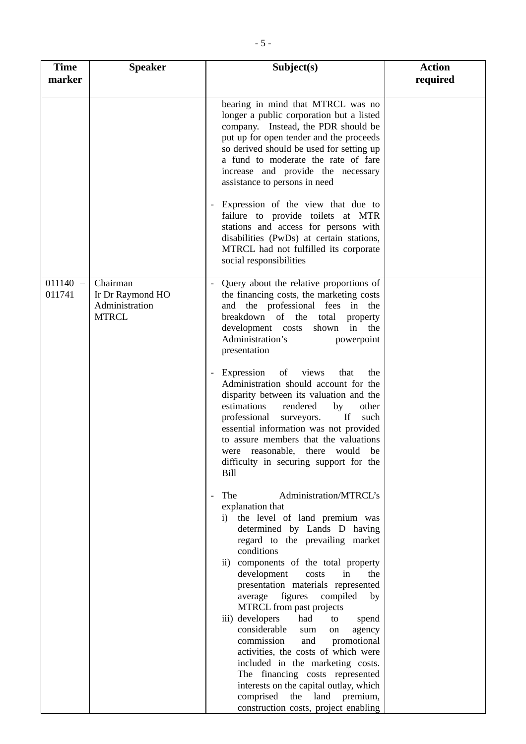| <b>Time</b><br>marker | <b>Speaker</b>                                                 | Subject(s)                                                                                                                                                                                                                                                                                                                                                                                                                                                                                                                                                                                                                                                                                                                                                                                                                                | <b>Action</b><br>required |
|-----------------------|----------------------------------------------------------------|-------------------------------------------------------------------------------------------------------------------------------------------------------------------------------------------------------------------------------------------------------------------------------------------------------------------------------------------------------------------------------------------------------------------------------------------------------------------------------------------------------------------------------------------------------------------------------------------------------------------------------------------------------------------------------------------------------------------------------------------------------------------------------------------------------------------------------------------|---------------------------|
|                       |                                                                | bearing in mind that MTRCL was no<br>longer a public corporation but a listed<br>company. Instead, the PDR should be<br>put up for open tender and the proceeds<br>so derived should be used for setting up<br>a fund to moderate the rate of fare<br>increase and provide the necessary<br>assistance to persons in need<br>Expression of the view that due to<br>failure to provide toilets at MTR<br>stations and access for persons with<br>disabilities (PwDs) at certain stations,<br>MTRCL had not fulfilled its corporate<br>social responsibilities                                                                                                                                                                                                                                                                              |                           |
| $011140 -$<br>011741  | Chairman<br>Ir Dr Raymond HO<br>Administration<br><b>MTRCL</b> | Query about the relative proportions of<br>the financing costs, the marketing costs<br>and the professional fees in the<br>breakdown of the total<br>property<br>development costs<br>in the<br>shown<br>Administration's<br>powerpoint<br>presentation<br>views<br>Expression<br>of<br>that<br>the<br>Administration should account for the<br>disparity between its valuation and the<br>estimations<br>rendered<br>other<br>by<br>If<br>professional<br>such<br>surveyors.<br>essential information was not provided<br>to assure members that the valuations<br>were reasonable, there would<br>be<br>difficulty in securing support for the<br><b>Bill</b><br>Administration/MTRCL's<br>The<br>explanation that<br>i) the level of land premium was<br>determined by Lands D having<br>regard to the prevailing market<br>conditions |                           |
|                       |                                                                | ii) components of the total property<br>development<br>costs<br>the<br>in<br>presentation materials represented<br>figures<br>compiled<br>average<br>by<br>MTRCL from past projects<br>iii) developers<br>had<br>to<br>spend<br>considerable<br>agency<br>sum<br>on<br>commission<br>promotional<br>and<br>activities, the costs of which were<br>included in the marketing costs.<br>The financing costs represented<br>interests on the capital outlay, which<br>comprised<br>the<br>land premium,<br>construction costs, project enabling                                                                                                                                                                                                                                                                                              |                           |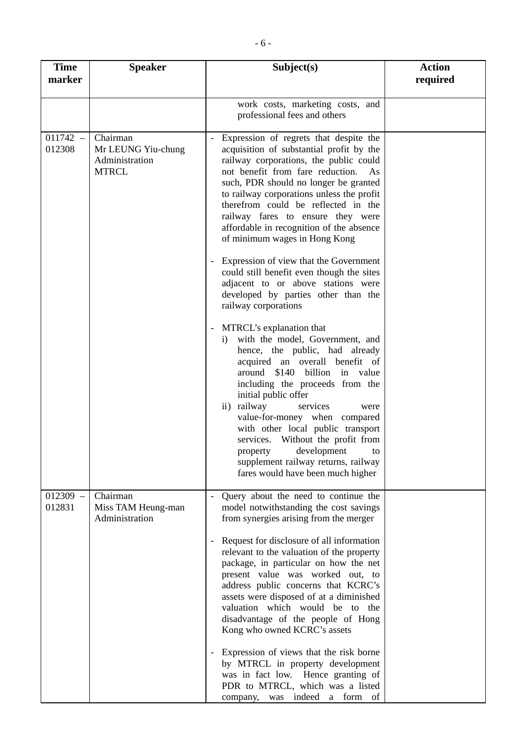| <b>Time</b><br>marker | <b>Speaker</b>                                                   | Subject(s)                                                                                                                                                                                                                                                                                                                                                                                                                                                                                                                                                                                                                                               | <b>Action</b><br>required |
|-----------------------|------------------------------------------------------------------|----------------------------------------------------------------------------------------------------------------------------------------------------------------------------------------------------------------------------------------------------------------------------------------------------------------------------------------------------------------------------------------------------------------------------------------------------------------------------------------------------------------------------------------------------------------------------------------------------------------------------------------------------------|---------------------------|
|                       |                                                                  | work costs, marketing costs, and<br>professional fees and others                                                                                                                                                                                                                                                                                                                                                                                                                                                                                                                                                                                         |                           |
| $011742 -$<br>012308  | Chairman<br>Mr LEUNG Yiu-chung<br>Administration<br><b>MTRCL</b> | Expression of regrets that despite the<br>acquisition of substantial profit by the<br>railway corporations, the public could<br>not benefit from fare reduction.<br>As<br>such, PDR should no longer be granted<br>to railway corporations unless the profit<br>therefrom could be reflected in the<br>railway fares to ensure they were<br>affordable in recognition of the absence<br>of minimum wages in Hong Kong                                                                                                                                                                                                                                    |                           |
|                       |                                                                  | Expression of view that the Government<br>could still benefit even though the sites<br>adjacent to or above stations were<br>developed by parties other than the<br>railway corporations                                                                                                                                                                                                                                                                                                                                                                                                                                                                 |                           |
|                       |                                                                  | MTRCL's explanation that<br>with the model, Government, and<br>i)<br>hence, the public, had already<br>acquired an overall benefit of<br>around \$140<br>billion in value<br>including the proceeds from the<br>initial public offer<br>ii) railway<br>services<br>were<br>value-for-money when compared<br>with other local public transport<br>services. Without the profit from<br>development<br>property<br>to<br>supplement railway returns, railway<br>fares would have been much higher                                                                                                                                                          |                           |
| $012309 -$<br>012831  | Chairman<br>Miss TAM Heung-man<br>Administration                 | Query about the need to continue the<br>model notwithstanding the cost savings<br>from synergies arising from the merger<br>Request for disclosure of all information<br>-<br>relevant to the valuation of the property<br>package, in particular on how the net<br>present value was worked out, to<br>address public concerns that KCRC's<br>assets were disposed of at a diminished<br>valuation which would be to the<br>disadvantage of the people of Hong<br>Kong who owned KCRC's assets<br>Expression of views that the risk borne<br>by MTRCL in property development<br>was in fact low. Hence granting of<br>PDR to MTRCL, which was a listed |                           |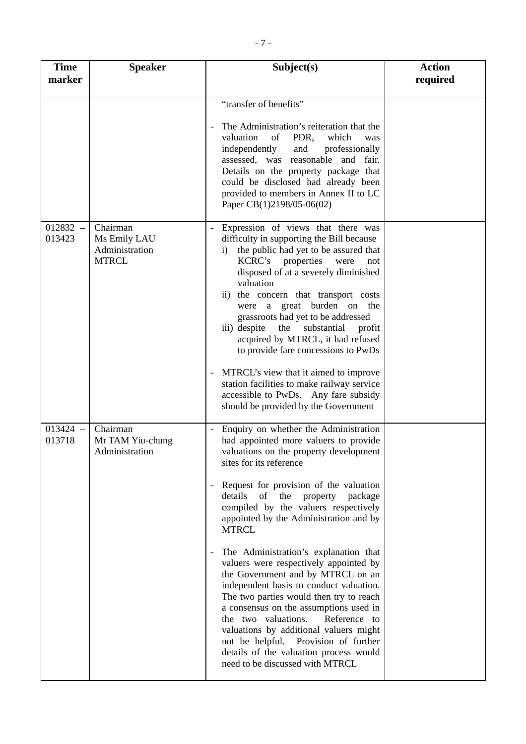| <b>Time</b><br>marker | <b>Speaker</b>                                             | Subject(s)                                                                                                                                                                                                                                                                                                                                                                                                                                                      | <b>Action</b><br>required |
|-----------------------|------------------------------------------------------------|-----------------------------------------------------------------------------------------------------------------------------------------------------------------------------------------------------------------------------------------------------------------------------------------------------------------------------------------------------------------------------------------------------------------------------------------------------------------|---------------------------|
|                       |                                                            | "transfer of benefits"                                                                                                                                                                                                                                                                                                                                                                                                                                          |                           |
|                       |                                                            | The Administration's reiteration that the<br>valuation<br>of<br>PDR,<br>which<br>was<br>independently<br>and<br>professionally<br>assessed, was reasonable and fair.<br>Details on the property package that<br>could be disclosed had already been<br>provided to members in Annex II to LC<br>Paper CB(1)2198/05-06(02)                                                                                                                                       |                           |
| $012832 -$<br>013423  | Chairman<br>Ms Emily LAU<br>Administration<br><b>MTRCL</b> | Expression of views that there was<br>difficulty in supporting the Bill because<br>the public had yet to be assured that<br>i)<br>KCRC's properties<br>were<br>not<br>disposed of at a severely diminished<br>valuation<br>ii) the concern that transport costs<br>were a great burden on the<br>grassroots had yet to be addressed<br>iii) despite<br>the<br>substantial<br>profit<br>acquired by MTRCL, it had refused<br>to provide fare concessions to PwDs |                           |
|                       |                                                            | MTRCL's view that it aimed to improve<br>station facilities to make railway service<br>accessible to PwDs. Any fare subsidy<br>should be provided by the Government                                                                                                                                                                                                                                                                                             |                           |
| $013424 -$<br>013718  | Chairman<br>Mr TAM Yiu-chung<br>Administration             | Enquiry on whether the Administration<br>had appointed more valuers to provide<br>valuations on the property development<br>sites for its reference                                                                                                                                                                                                                                                                                                             |                           |
|                       |                                                            | - Request for provision of the valuation<br>details<br>of the<br>property<br>package<br>compiled by the valuers respectively<br>appointed by the Administration and by<br><b>MTRCL</b>                                                                                                                                                                                                                                                                          |                           |
|                       |                                                            | The Administration's explanation that<br>valuers were respectively appointed by<br>the Government and by MTRCL on an<br>independent basis to conduct valuation.<br>The two parties would then try to reach<br>a consensus on the assumptions used in<br>the two valuations.<br>Reference to<br>valuations by additional valuers might<br>not be helpful. Provision of further<br>details of the valuation process would<br>need to be discussed with MTRCL      |                           |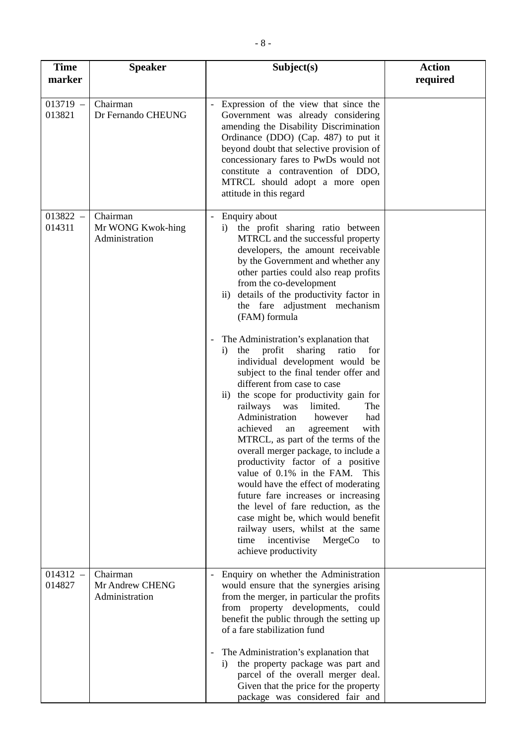| <b>Time</b><br>marker | <b>Speaker</b>                                  | Subject(s)                                                                                                                                                                                                                                                                                                                                                                                                                                                                                                                                                                                                                                                                                                                                                                                                                                                                                                                                                                                                                                                                                                                                                                                       | <b>Action</b><br>required |
|-----------------------|-------------------------------------------------|--------------------------------------------------------------------------------------------------------------------------------------------------------------------------------------------------------------------------------------------------------------------------------------------------------------------------------------------------------------------------------------------------------------------------------------------------------------------------------------------------------------------------------------------------------------------------------------------------------------------------------------------------------------------------------------------------------------------------------------------------------------------------------------------------------------------------------------------------------------------------------------------------------------------------------------------------------------------------------------------------------------------------------------------------------------------------------------------------------------------------------------------------------------------------------------------------|---------------------------|
| $013719 -$<br>013821  | Chairman<br>Dr Fernando CHEUNG                  | Expression of the view that since the<br>Government was already considering<br>amending the Disability Discrimination<br>Ordinance (DDO) (Cap. 487) to put it<br>beyond doubt that selective provision of<br>concessionary fares to PwDs would not<br>constitute a contravention of DDO,<br>MTRCL should adopt a more open<br>attitude in this regard                                                                                                                                                                                                                                                                                                                                                                                                                                                                                                                                                                                                                                                                                                                                                                                                                                            |                           |
| $013822 -$<br>014311  | Chairman<br>Mr WONG Kwok-hing<br>Administration | Enquiry about<br>$\overline{\phantom{a}}$<br>the profit sharing ratio between<br>$\rm i)$<br>MTRCL and the successful property<br>developers, the amount receivable<br>by the Government and whether any<br>other parties could also reap profits<br>from the co-development<br>details of the productivity factor in<br>$\overline{11}$ )<br>the fare adjustment mechanism<br>(FAM) formula<br>The Administration's explanation that<br>profit<br>sharing<br>the<br>ratio<br>for<br>$\mathbf{i}$<br>individual development would be<br>subject to the final tender offer and<br>different from case to case<br>ii) the scope for productivity gain for<br>railways<br>limited.<br>was<br>The<br>Administration<br>however<br>had<br>achieved<br>with<br>agreement<br>an<br>MTRCL, as part of the terms of the<br>overall merger package, to include a<br>productivity factor of a positive<br>value of 0.1% in the FAM.<br>This<br>would have the effect of moderating<br>future fare increases or increasing<br>the level of fare reduction, as the<br>case might be, which would benefit<br>railway users, whilst at the same<br>incentivise<br>time<br>MergeCo<br>to<br>achieve productivity |                           |
| $014312 -$<br>014827  | Chairman<br>Mr Andrew CHENG<br>Administration   | Enquiry on whether the Administration<br>would ensure that the synergies arising<br>from the merger, in particular the profits<br>from property developments, could<br>benefit the public through the setting up<br>of a fare stabilization fund<br>The Administration's explanation that<br>the property package was part and<br>$\mathbf{i}$<br>parcel of the overall merger deal.<br>Given that the price for the property<br>package was considered fair and                                                                                                                                                                                                                                                                                                                                                                                                                                                                                                                                                                                                                                                                                                                                 |                           |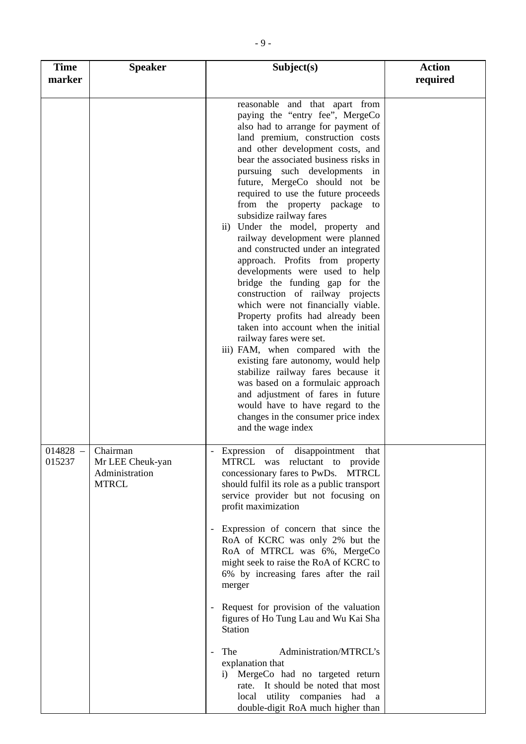| <b>Time</b><br>marker | <b>Speaker</b>                                                            | Subject(s)                                                                                                                                                                                                                                                                                                                                                                                                                                                                                                                                                                                                                                                                                                                                                                                                                                                                                                                                                                                                                                                                                         | <b>Action</b><br>required |
|-----------------------|---------------------------------------------------------------------------|----------------------------------------------------------------------------------------------------------------------------------------------------------------------------------------------------------------------------------------------------------------------------------------------------------------------------------------------------------------------------------------------------------------------------------------------------------------------------------------------------------------------------------------------------------------------------------------------------------------------------------------------------------------------------------------------------------------------------------------------------------------------------------------------------------------------------------------------------------------------------------------------------------------------------------------------------------------------------------------------------------------------------------------------------------------------------------------------------|---------------------------|
|                       |                                                                           | reasonable and that apart from<br>paying the "entry fee", MergeCo<br>also had to arrange for payment of<br>land premium, construction costs<br>and other development costs, and<br>bear the associated business risks in<br>pursuing such developments<br>in<br>future, MergeCo should not be<br>required to use the future proceeds<br>from the property package to<br>subsidize railway fares<br>ii) Under the model, property and<br>railway development were planned<br>and constructed under an integrated<br>approach. Profits from property<br>developments were used to help<br>bridge the funding gap for the<br>construction of railway projects<br>which were not financially viable.<br>Property profits had already been<br>taken into account when the initial<br>railway fares were set.<br>iii) FAM, when compared with the<br>existing fare autonomy, would help<br>stabilize railway fares because it<br>was based on a formulaic approach<br>and adjustment of fares in future<br>would have to have regard to the<br>changes in the consumer price index<br>and the wage index |                           |
| 015237                | $014828$ – Chairman<br>Mr LEE Cheuk-yan<br>Administration<br><b>MTRCL</b> | Expression of disappointment<br>that<br>MTRCL was reluctant to provide<br>concessionary fares to PwDs. MTRCL<br>should fulfil its role as a public transport<br>service provider but not focusing on<br>profit maximization<br>Expression of concern that since the<br>RoA of KCRC was only 2% but the<br>RoA of MTRCL was 6%, MergeCo<br>might seek to raise the RoA of KCRC to<br>6% by increasing fares after the rail<br>merger<br>- Request for provision of the valuation<br>figures of Ho Tung Lau and Wu Kai Sha<br><b>Station</b><br>Administration/MTRCL's<br>The<br>explanation that<br>MergeCo had no targeted return<br>i)<br>rate. It should be noted that most<br>local utility companies had a<br>double-digit RoA much higher than                                                                                                                                                                                                                                                                                                                                                |                           |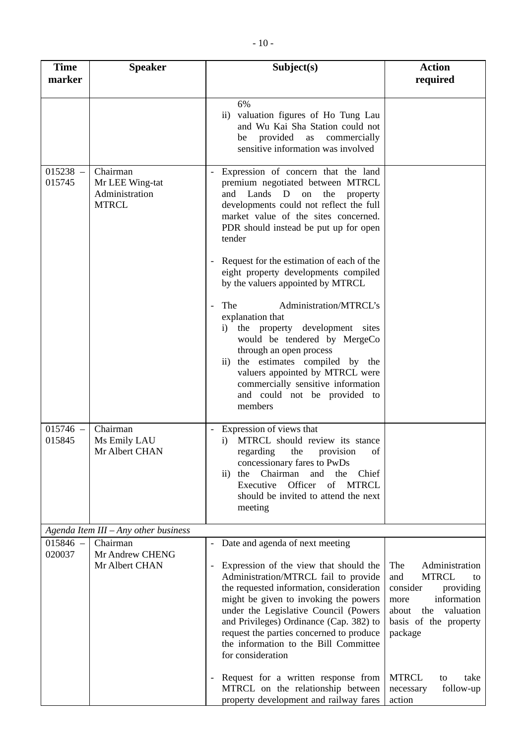| <b>Time</b><br>marker | <b>Speaker</b>                                                | Subject(s)                                                                                                                                                                                                                                                                                                                                                                                                                                                   | <b>Action</b><br>required                                                                                                                                           |
|-----------------------|---------------------------------------------------------------|--------------------------------------------------------------------------------------------------------------------------------------------------------------------------------------------------------------------------------------------------------------------------------------------------------------------------------------------------------------------------------------------------------------------------------------------------------------|---------------------------------------------------------------------------------------------------------------------------------------------------------------------|
|                       |                                                               | 6%<br>ii) valuation figures of Ho Tung Lau<br>and Wu Kai Sha Station could not<br>provided<br>as<br>commercially<br>be<br>sensitive information was involved                                                                                                                                                                                                                                                                                                 |                                                                                                                                                                     |
| $015238 -$<br>015745  | Chairman<br>Mr LEE Wing-tat<br>Administration<br><b>MTRCL</b> | Expression of concern that the land<br>premium negotiated between MTRCL<br>Lands D on<br>and<br>the<br>property<br>developments could not reflect the full<br>market value of the sites concerned.<br>PDR should instead be put up for open<br>tender                                                                                                                                                                                                        |                                                                                                                                                                     |
|                       |                                                               | Request for the estimation of each of the<br>eight property developments compiled<br>by the valuers appointed by MTRCL                                                                                                                                                                                                                                                                                                                                       |                                                                                                                                                                     |
|                       |                                                               | The<br>Administration/MTRCL's<br>$\overline{\phantom{a}}$<br>explanation that<br>the property development sites<br>i)<br>would be tendered by MergeCo<br>through an open process<br>ii) the estimates compiled by the<br>valuers appointed by MTRCL were<br>commercially sensitive information<br>and could not be provided to<br>members                                                                                                                    |                                                                                                                                                                     |
| $015746 -$<br>015845  | Chairman<br>Ms Emily LAU<br>Mr Albert CHAN                    | Expression of views that<br>MTRCL should review its stance<br>$\bf{1)}$<br>regarding the provision of<br>concessionary fares to PwDs<br>Chairman and the<br>$\mathbf{ii}$<br>the<br>Chief<br>Officer<br>of MTRCL<br>Executive<br>should be invited to attend the next<br>meeting                                                                                                                                                                             |                                                                                                                                                                     |
|                       | Agenda Item III - Any other business                          |                                                                                                                                                                                                                                                                                                                                                                                                                                                              |                                                                                                                                                                     |
| $015846 -$<br>020037  | Chairman<br>Mr Andrew CHENG<br>Mr Albert CHAN                 | Date and agenda of next meeting<br>$\overline{\phantom{a}}$<br>Expression of the view that should the<br>$\overline{\phantom{a}}$<br>Administration/MTRCL fail to provide<br>the requested information, consideration<br>might be given to invoking the powers<br>under the Legislative Council (Powers<br>and Privileges) Ordinance (Cap. 382) to<br>request the parties concerned to produce<br>the information to the Bill Committee<br>for consideration | The<br>Administration<br><b>MTRCL</b><br>and<br>to<br>providing<br>consider<br>information<br>more<br>about<br>the<br>valuation<br>basis of the property<br>package |
|                       |                                                               | Request for a written response from<br>$\overline{\phantom{a}}$<br>MTRCL on the relationship between<br>property development and railway fares                                                                                                                                                                                                                                                                                                               | <b>MTRCL</b><br>take<br>to<br>follow-up<br>necessary<br>action                                                                                                      |